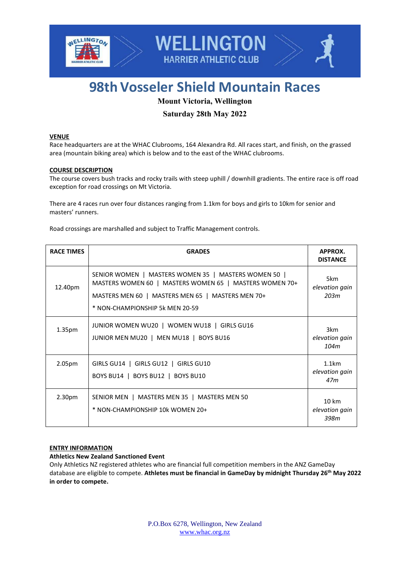



# **98th Vosseler Shield Mountain Races**

# **Mount Victoria, Wellington**

# **Saturday 28th May 2022**

# **VENUE**

Race headquarters are at the WHAC Clubrooms, 164 Alexandra Rd. All races start, and finish, on the grassed area (mountain biking area) which is below and to the east of the WHAC clubrooms.

# **COURSE DESCRIPTION**

The course covers bush tracks and rocky trails with steep uphill / downhill gradients. The entire race is off road exception for road crossings on Mt Victoria.

There are 4 races run over four distances ranging from 1.1km for boys and girls to 10km for senior and masters' runners.

Road crossings are marshalled and subject to Traffic Management controls.

| <b>RACE TIMES</b>  | <b>GRADES</b>                                                                                                                                                                                           | APPROX.<br><b>DISTANCE</b>                 |
|--------------------|---------------------------------------------------------------------------------------------------------------------------------------------------------------------------------------------------------|--------------------------------------------|
| 12.40pm            | SENIOR WOMEN   MASTERS WOMEN 35   MASTERS WOMEN 50  <br>MASTERS WOMEN 60   MASTERS WOMEN 65   MASTERS WOMEN 70+<br>MASTERS MEN 60   MASTERS MEN 65   MASTERS MEN 70+<br>* NON-CHAMPIONSHIP 5k MEN 20-59 | 5km<br>elevation gain<br>20.3 <sub>m</sub> |
| 1.35 <sub>pm</sub> | JUNIOR WOMEN WU20   WOMEN WU18   GIRLS GU16<br>JUNIOR MEN MU20   MEN MU18   BOYS BU16                                                                                                                   | 3km<br>elevation gain<br>104m              |
| 2.05 <sub>pm</sub> | GIRLS GU14   GIRLS GU12   GIRLS GU10<br>BOYS BU14   BOYS BU12   BOYS BU10                                                                                                                               | 1.1km<br>elevation gain<br>47m             |
| 2.30 <sub>pm</sub> | SENIOR MEN   MASTERS MEN 35   MASTERS MEN 50<br>* NON-CHAMPIONSHIP 10k WOMEN 20+                                                                                                                        | $10 \text{ km}$<br>elevation gain<br>398m  |

# **ENTRY INFORMATION**

**Athletics New Zealand Sanctioned Event**

Only Athletics NZ registered athletes who are financial full competition members in the ANZ GameDay database are eligible to compete. **Athletes must be financial in GameDay by midnight Thursday 26 th May 2022 in order to compete.**

> P.O.Box 6278, Wellington, New Zealand [www.whac.org.nz](http://www.whac.org.nz/)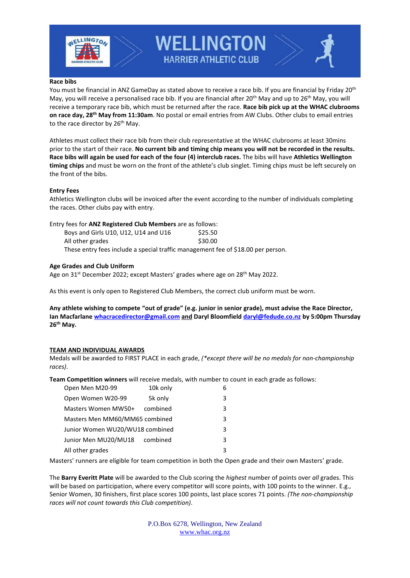

**WELLINGTON HARRIER ATHLETIC CLUB** 

#### **Race bibs**

You must be financial in ANZ GameDay as stated above to receive a race bib. If you are financial by Friday 20<sup>th</sup> May, you will receive a personalised race bib. If you are financial after 20<sup>th</sup> May and up to 26<sup>th</sup> May, you will receive a temporary race bib, which must be returned after the race. **Race bib pick up at the WHAC clubrooms on race day, 28 th May from 11:30am**. No postal or email entries from AW Clubs. Other clubs to email entries to the race director by 26<sup>th</sup> May.

Athletes must collect their race bib from their club representative at the WHAC clubrooms at least 30mins prior to the start of their race. **No current bib and timing chip means you will not be recorded in the results. Race bibs will again be used for each of the four (4) interclub races.** The bibs will have **Athletics Wellington timing chips** and must be worn on the front of the athlete's club singlet. Timing chips must be left securely on the front of the bibs.

#### **Entry Fees**

Athletics Wellington clubs will be invoiced after the event according to the number of individuals completing the races. Other clubs pay with entry.

Entry fees for **ANZ Registered Club Members** are as follows:

| Boys and Girls U10, U12, U14 and U16                                             | \$25.50 |
|----------------------------------------------------------------------------------|---------|
| All other grades                                                                 | \$30.00 |
| These entry fees include a special traffic management fee of \$18.00 per person. |         |

# **Age Grades and Club Uniform**

Age on 31<sup>st</sup> December 2022; except Masters' grades where age on 28<sup>th</sup> May 2022.

As this event is only open to Registered Club Members, the correct club uniform must be worn.

**Any athlete wishing to compete "out of grade" (e.g. junior in senior grade), must advise the Race Director, Ian Macfarlane [whacracedirector@gmail.com](mailto:whacracedirector@gmail.com) and Daryl Bloomfield [daryl@fedude.co.nz](mailto:daryl@fedude.co.nz) by 5:00pm Thursday 26 th May.**

# **TEAM AND INDIVIDUAL AWARDS**

Medals will be awarded to FIRST PLACE in each grade, *(\*except there will be no medals for non-championship races)*.

**Team Competition winners** will receive medals, with number to count in each grade as follows:

| Open Men M20-99                 | 10k only |  | 6 |
|---------------------------------|----------|--|---|
| Open Women W20-99               | 5k only  |  | 3 |
| Masters Women MW50+             | combined |  | 3 |
| Masters Men MM60/MM65 combined  |          |  | 3 |
| Junior Women WU20/WU18 combined |          |  | 3 |
| Junior Men MU20/MU18            | combined |  | 3 |
| All other grades                |          |  | 3 |

Masters' runners are eligible for team competition in both the Open grade and their own Masters' grade.

The **Barry Everitt Plate** will be awarded to the Club scoring the *highest* number of points over *all* grades. This will be based on participation, where every competitor will score points, with 100 points to the winner. E.g., Senior Women, 30 finishers, first place scores 100 points, last place scores 71 points. *(The non-championship races will not count towards this Club competition)*.